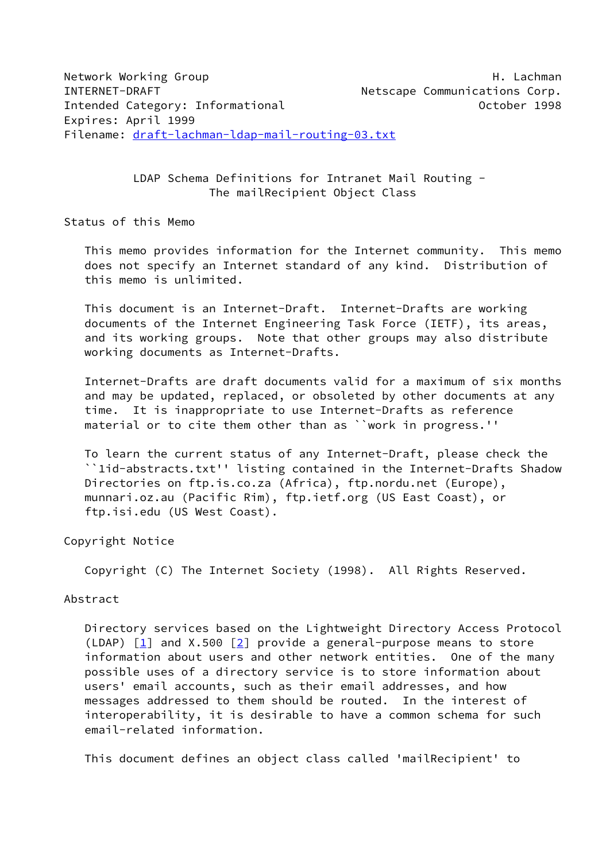LDAP Schema Definitions for Intranet Mail Routing - The mailRecipient Object Class

Status of this Memo

 This memo provides information for the Internet community. This memo does not specify an Internet standard of any kind. Distribution of this memo is unlimited.

 This document is an Internet-Draft. Internet-Drafts are working documents of the Internet Engineering Task Force (IETF), its areas, and its working groups. Note that other groups may also distribute working documents as Internet-Drafts.

 Internet-Drafts are draft documents valid for a maximum of six months and may be updated, replaced, or obsoleted by other documents at any time. It is inappropriate to use Internet-Drafts as reference material or to cite them other than as ``work in progress.''

 To learn the current status of any Internet-Draft, please check the ``1id-abstracts.txt'' listing contained in the Internet-Drafts Shadow Directories on ftp.is.co.za (Africa), ftp.nordu.net (Europe), munnari.oz.au (Pacific Rim), ftp.ietf.org (US East Coast), or ftp.isi.edu (US West Coast).

Copyright Notice

Copyright (C) The Internet Society (1998). All Rights Reserved.

# Abstract

 Directory services based on the Lightweight Directory Access Protocol (LDAP)  $[1]$  $[1]$  and X.500  $[2]$  provide a general-purpose means to store information about users and other network entities. One of the many possible uses of a directory service is to store information about users' email accounts, such as their email addresses, and how messages addressed to them should be routed. In the interest of interoperability, it is desirable to have a common schema for such email-related information.

This document defines an object class called 'mailRecipient' to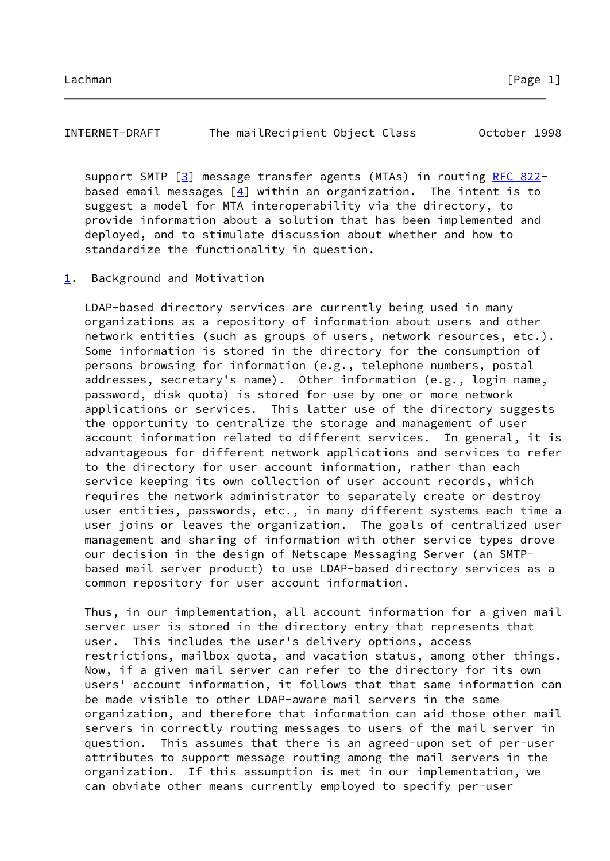# INTERNET-DRAFT The mailRecipient Object Class October 1998

 support SMTP [\[3\]](#page-17-2) message transfer agents (MTAs) in routing [RFC 822](https://datatracker.ietf.org/doc/pdf/rfc822) based email messages  $[4]$  within an organization. The intent is to suggest a model for MTA interoperability via the directory, to provide information about a solution that has been implemented and deployed, and to stimulate discussion about whether and how to standardize the functionality in question.

<span id="page-1-0"></span>[1](#page-1-0). Background and Motivation

 LDAP-based directory services are currently being used in many organizations as a repository of information about users and other network entities (such as groups of users, network resources, etc.). Some information is stored in the directory for the consumption of persons browsing for information (e.g., telephone numbers, postal addresses, secretary's name). Other information (e.g., login name, password, disk quota) is stored for use by one or more network applications or services. This latter use of the directory suggests the opportunity to centralize the storage and management of user account information related to different services. In general, it is advantageous for different network applications and services to refer to the directory for user account information, rather than each service keeping its own collection of user account records, which requires the network administrator to separately create or destroy user entities, passwords, etc., in many different systems each time a user joins or leaves the organization. The goals of centralized user management and sharing of information with other service types drove our decision in the design of Netscape Messaging Server (an SMTP based mail server product) to use LDAP-based directory services as a common repository for user account information.

 Thus, in our implementation, all account information for a given mail server user is stored in the directory entry that represents that user. This includes the user's delivery options, access restrictions, mailbox quota, and vacation status, among other things. Now, if a given mail server can refer to the directory for its own users' account information, it follows that that same information can be made visible to other LDAP-aware mail servers in the same organization, and therefore that information can aid those other mail servers in correctly routing messages to users of the mail server in question. This assumes that there is an agreed-upon set of per-user attributes to support message routing among the mail servers in the organization. If this assumption is met in our implementation, we can obviate other means currently employed to specify per-user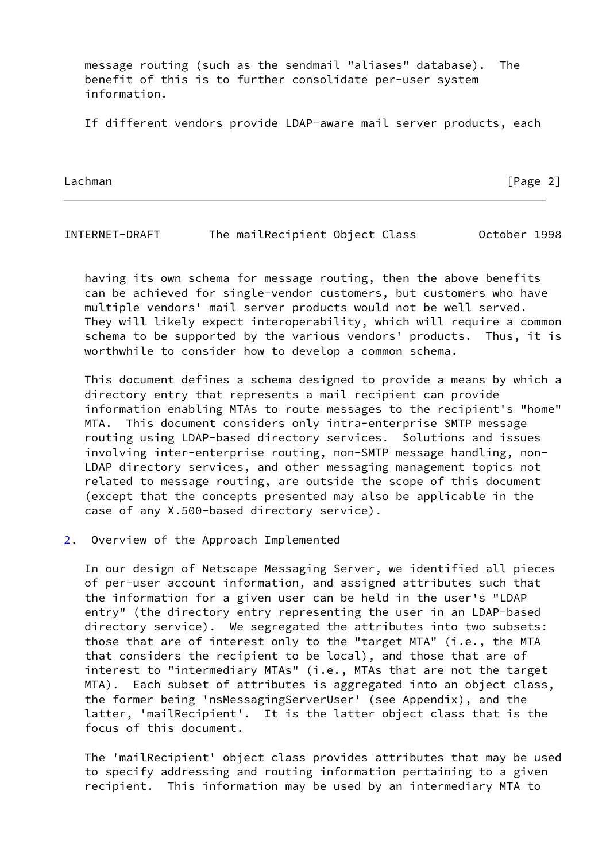message routing (such as the sendmail "aliases" database). The benefit of this is to further consolidate per-user system information.

If different vendors provide LDAP-aware mail server products, each

Lachman [Page 2]

INTERNET-DRAFT The mailRecipient Object Class October 1998

 having its own schema for message routing, then the above benefits can be achieved for single-vendor customers, but customers who have multiple vendors' mail server products would not be well served. They will likely expect interoperability, which will require a common schema to be supported by the various vendors' products. Thus, it is worthwhile to consider how to develop a common schema.

 This document defines a schema designed to provide a means by which a directory entry that represents a mail recipient can provide information enabling MTAs to route messages to the recipient's "home" MTA. This document considers only intra-enterprise SMTP message routing using LDAP-based directory services. Solutions and issues involving inter-enterprise routing, non-SMTP message handling, non- LDAP directory services, and other messaging management topics not related to message routing, are outside the scope of this document (except that the concepts presented may also be applicable in the case of any X.500-based directory service).

<span id="page-2-0"></span>[2](#page-2-0). Overview of the Approach Implemented

 In our design of Netscape Messaging Server, we identified all pieces of per-user account information, and assigned attributes such that the information for a given user can be held in the user's "LDAP entry" (the directory entry representing the user in an LDAP-based directory service). We segregated the attributes into two subsets: those that are of interest only to the "target MTA" (i.e., the MTA that considers the recipient to be local), and those that are of interest to "intermediary MTAs" (i.e., MTAs that are not the target MTA). Each subset of attributes is aggregated into an object class, the former being 'nsMessagingServerUser' (see Appendix), and the latter, 'mailRecipient'. It is the latter object class that is the focus of this document.

 The 'mailRecipient' object class provides attributes that may be used to specify addressing and routing information pertaining to a given recipient. This information may be used by an intermediary MTA to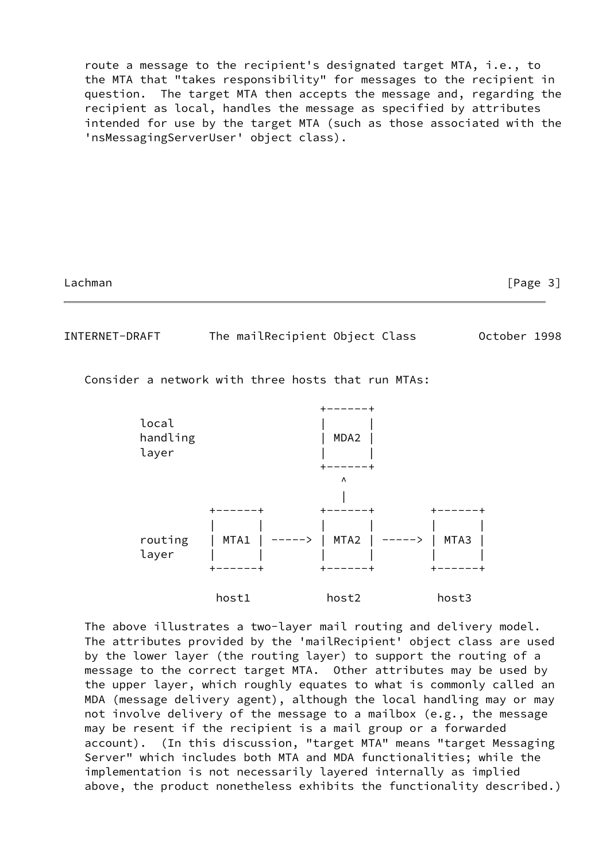route a message to the recipient's designated target MTA, i.e., to the MTA that "takes responsibility" for messages to the recipient in question. The target MTA then accepts the message and, regarding the recipient as local, handles the message as specified by attributes intended for use by the target MTA (such as those associated with the 'nsMessagingServerUser' object class).

Lachman [Page 3]

INTERNET-DRAFT The mailRecipient Object Class October 1998

Consider a network with three hosts that run MTAs:



 The above illustrates a two-layer mail routing and delivery model. The attributes provided by the 'mailRecipient' object class are used by the lower layer (the routing layer) to support the routing of a message to the correct target MTA. Other attributes may be used by the upper layer, which roughly equates to what is commonly called an MDA (message delivery agent), although the local handling may or may not involve delivery of the message to a mailbox (e.g., the message may be resent if the recipient is a mail group or a forwarded account). (In this discussion, "target MTA" means "target Messaging Server" which includes both MTA and MDA functionalities; while the implementation is not necessarily layered internally as implied above, the product nonetheless exhibits the functionality described.)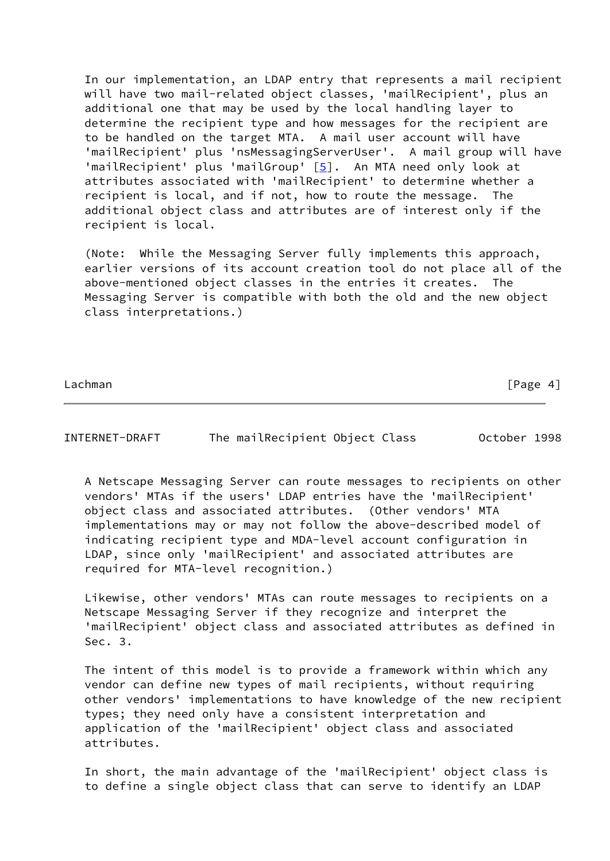In our implementation, an LDAP entry that represents a mail recipient will have two mail-related object classes, 'mailRecipient', plus an additional one that may be used by the local handling layer to determine the recipient type and how messages for the recipient are to be handled on the target MTA. A mail user account will have 'mailRecipient' plus 'nsMessagingServerUser'. A mail group will have 'mailRecipient' plus 'mailGroup' [\[5\]](#page-17-4). An MTA need only look at attributes associated with 'mailRecipient' to determine whether a recipient is local, and if not, how to route the message. The additional object class and attributes are of interest only if the recipient is local.

 (Note: While the Messaging Server fully implements this approach, earlier versions of its account creation tool do not place all of the above-mentioned object classes in the entries it creates. The Messaging Server is compatible with both the old and the new object class interpretations.)

Lachman **Example 19** | Case 19 | Case 19 | Case 19 | Case 19 | Case 19 | Case 19 | Case 19 | Case 19 | Case 19 | Case 19 | Case 19 | Case 19 | Case 19 | Case 19 | Case 19 | Case 19 | Case 19 | Case 19 | Case 19 | Case 19 |

INTERNET-DRAFT The mailRecipient Object Class October 1998

 A Netscape Messaging Server can route messages to recipients on other vendors' MTAs if the users' LDAP entries have the 'mailRecipient' object class and associated attributes. (Other vendors' MTA implementations may or may not follow the above-described model of indicating recipient type and MDA-level account configuration in LDAP, since only 'mailRecipient' and associated attributes are required for MTA-level recognition.)

 Likewise, other vendors' MTAs can route messages to recipients on a Netscape Messaging Server if they recognize and interpret the 'mailRecipient' object class and associated attributes as defined in Sec. 3.

 The intent of this model is to provide a framework within which any vendor can define new types of mail recipients, without requiring other vendors' implementations to have knowledge of the new recipient types; they need only have a consistent interpretation and application of the 'mailRecipient' object class and associated attributes.

 In short, the main advantage of the 'mailRecipient' object class is to define a single object class that can serve to identify an LDAP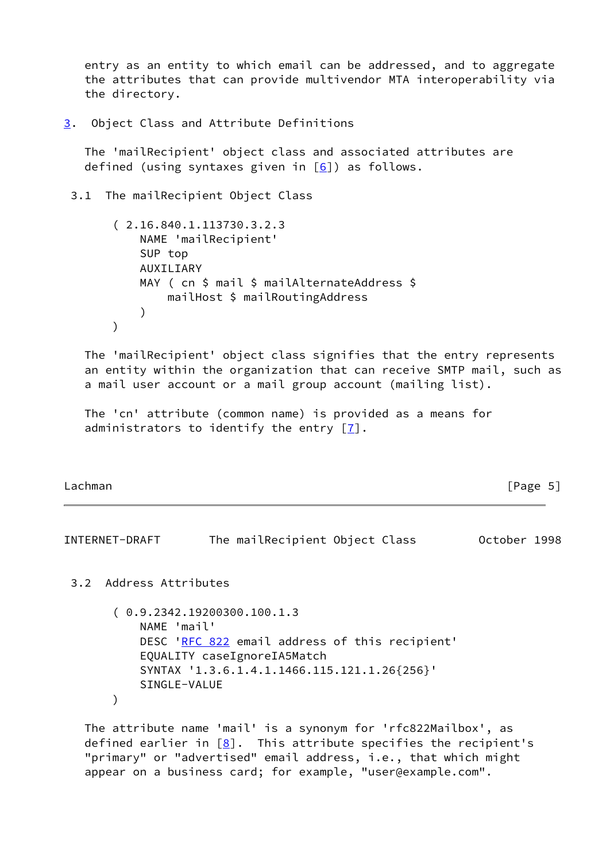entry as an entity to which email can be addressed, and to aggregate the attributes that can provide multivendor MTA interoperability via the directory.

<span id="page-5-0"></span>[3](#page-5-0). Object Class and Attribute Definitions

 The 'mailRecipient' object class and associated attributes are defined (using syntaxes given in  $[6]$ ) as follows.

3.1 The mailRecipient Object Class

```
 ( 2.16.840.1.113730.3.2.3
             NAME 'mailRecipient'
             SUP top
             AUXILIARY
            MAY ( cn $ mail $ mailAlternateAddress $
                 mailHost $ mailRoutingAddress
\overline{\phantom{a}} )
```
 The 'mailRecipient' object class signifies that the entry represents an entity within the organization that can receive SMTP mail, such as a mail user account or a mail group account (mailing list).

 The 'cn' attribute (common name) is provided as a means for administrators to identify the entry  $[7]$ .

Lachman [Page 5]

INTERNET-DRAFT The mailRecipient Object Class October 1998

3.2 Address Attributes

 ( 0.9.2342.19200300.100.1.3 NAME 'mail' DESC '[RFC 822](https://datatracker.ietf.org/doc/pdf/rfc822) email address of this recipient' EQUALITY caseIgnoreIA5Match SYNTAX '1.3.6.1.4.1.1466.115.121.1.26{256}' SINGLE-VALUE )

 The attribute name 'mail' is a synonym for 'rfc822Mailbox', as defined earlier in  $[8]$  $[8]$ . This attribute specifies the recipient's "primary" or "advertised" email address, i.e., that which might appear on a business card; for example, "user@example.com".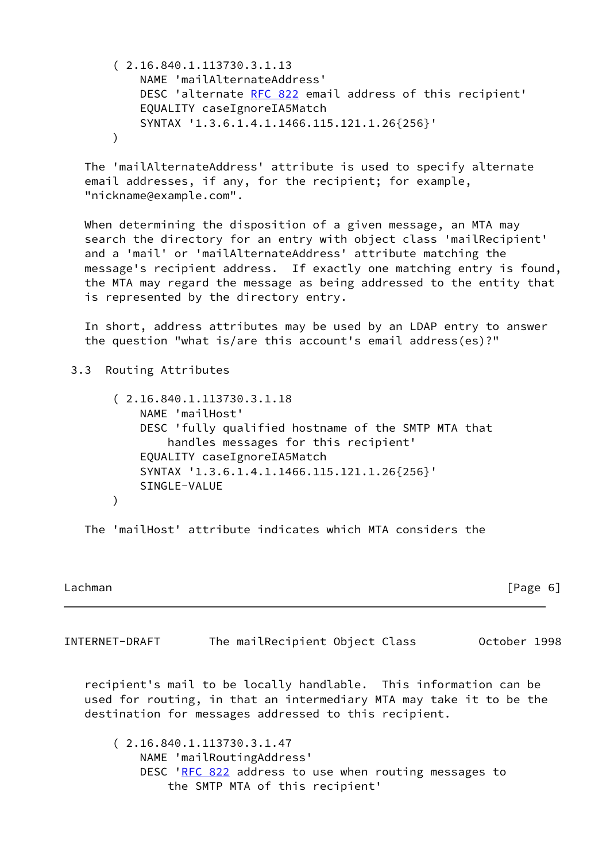( 2.16.840.1.113730.3.1.13 NAME 'mailAlternateAddress' DESC 'alternate [RFC 822](https://datatracker.ietf.org/doc/pdf/rfc822) email address of this recipient' EQUALITY caseIgnoreIA5Match SYNTAX '1.3.6.1.4.1.1466.115.121.1.26{256}'  $\lambda$ 

 The 'mailAlternateAddress' attribute is used to specify alternate email addresses, if any, for the recipient; for example, "nickname@example.com".

 When determining the disposition of a given message, an MTA may search the directory for an entry with object class 'mailRecipient' and a 'mail' or 'mailAlternateAddress' attribute matching the message's recipient address. If exactly one matching entry is found, the MTA may regard the message as being addressed to the entity that is represented by the directory entry.

 In short, address attributes may be used by an LDAP entry to answer the question "what is/are this account's email address(es)?"

3.3 Routing Attributes

```
 ( 2.16.840.1.113730.3.1.18
     NAME 'mailHost'
     DESC 'fully qualified hostname of the SMTP MTA that
         handles messages for this recipient'
     EQUALITY caseIgnoreIA5Match
     SYNTAX '1.3.6.1.4.1.1466.115.121.1.26{256}'
     SINGLE-VALUE
 )
```
The 'mailHost' attribute indicates which MTA considers the

Lachman [Page 6]

INTERNET-DRAFT The mailRecipient Object Class October 1998

 recipient's mail to be locally handlable. This information can be used for routing, in that an intermediary MTA may take it to be the destination for messages addressed to this recipient.

 ( 2.16.840.1.113730.3.1.47 NAME 'mailRoutingAddress' DESC '[RFC 822](https://datatracker.ietf.org/doc/pdf/rfc822) address to use when routing messages to the SMTP MTA of this recipient'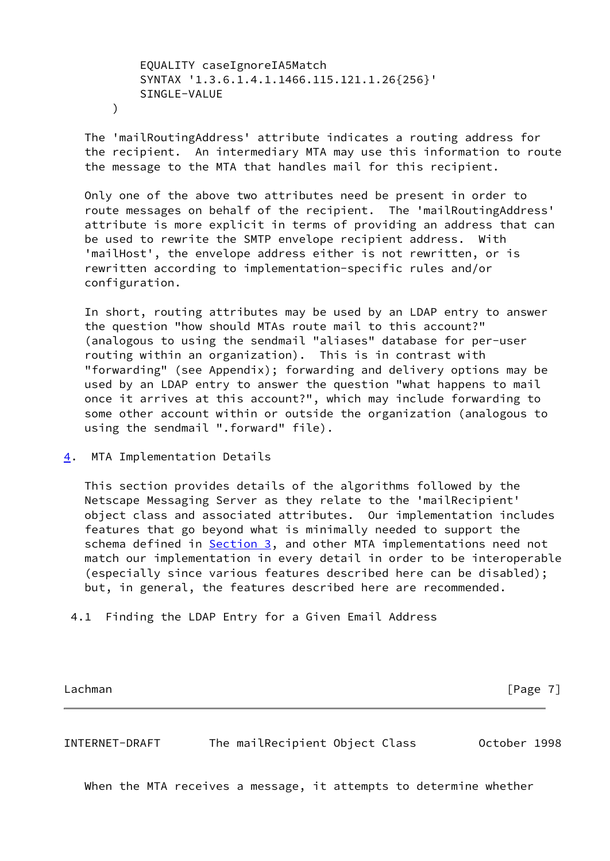EQUALITY caseIgnoreIA5Match SYNTAX '1.3.6.1.4.1.1466.115.121.1.26{256}' SINGLE-VALUE

)

 The 'mailRoutingAddress' attribute indicates a routing address for the recipient. An intermediary MTA may use this information to route the message to the MTA that handles mail for this recipient.

 Only one of the above two attributes need be present in order to route messages on behalf of the recipient. The 'mailRoutingAddress' attribute is more explicit in terms of providing an address that can be used to rewrite the SMTP envelope recipient address. With 'mailHost', the envelope address either is not rewritten, or is rewritten according to implementation-specific rules and/or configuration.

 In short, routing attributes may be used by an LDAP entry to answer the question "how should MTAs route mail to this account?" (analogous to using the sendmail "aliases" database for per-user routing within an organization). This is in contrast with "forwarding" (see Appendix); forwarding and delivery options may be used by an LDAP entry to answer the question "what happens to mail once it arrives at this account?", which may include forwarding to some other account within or outside the organization (analogous to using the sendmail ".forward" file).

<span id="page-7-0"></span>[4](#page-7-0). MTA Implementation Details

 This section provides details of the algorithms followed by the Netscape Messaging Server as they relate to the 'mailRecipient' object class and associated attributes. Our implementation includes features that go beyond what is minimally needed to support the schema defined in [Section 3,](#page-5-0) and other MTA implementations need not match our implementation in every detail in order to be interoperable (especially since various features described here can be disabled); but, in general, the features described here are recommended.

4.1 Finding the LDAP Entry for a Given Email Address

Lachman [Page 7]

INTERNET-DRAFT The mailRecipient Object Class October 1998

When the MTA receives a message, it attempts to determine whether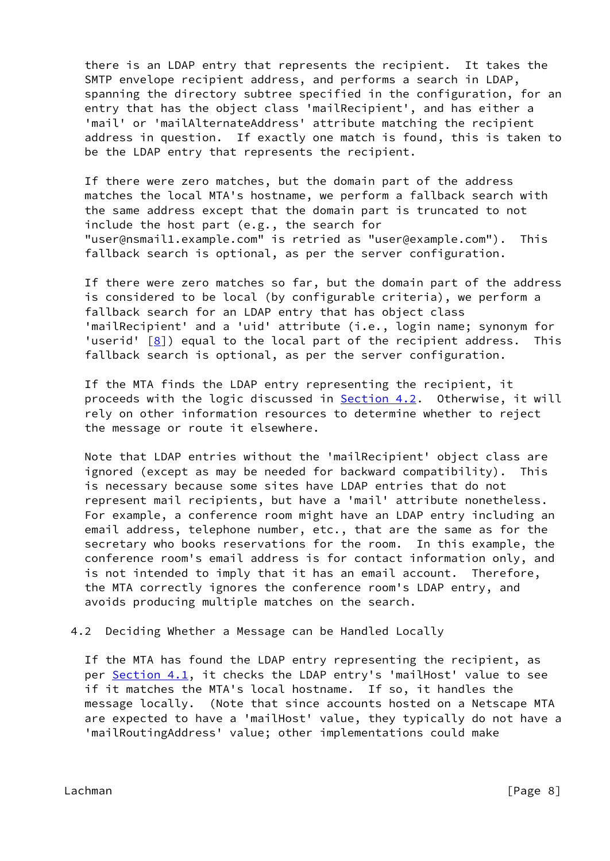there is an LDAP entry that represents the recipient. It takes the SMTP envelope recipient address, and performs a search in LDAP, spanning the directory subtree specified in the configuration, for an entry that has the object class 'mailRecipient', and has either a 'mail' or 'mailAlternateAddress' attribute matching the recipient address in question. If exactly one match is found, this is taken to be the LDAP entry that represents the recipient.

 If there were zero matches, but the domain part of the address matches the local MTA's hostname, we perform a fallback search with the same address except that the domain part is truncated to not include the host part (e.g., the search for "user@nsmail1.example.com" is retried as "user@example.com"). This fallback search is optional, as per the server configuration.

 If there were zero matches so far, but the domain part of the address is considered to be local (by configurable criteria), we perform a fallback search for an LDAP entry that has object class 'mailRecipient' and a 'uid' attribute (i.e., login name; synonym for 'userid' [\[8\]](#page-17-7)) equal to the local part of the recipient address. This fallback search is optional, as per the server configuration.

 If the MTA finds the LDAP entry representing the recipient, it proceeds with the logic discussed in **Section 4.2.** Otherwise, it will rely on other information resources to determine whether to reject the message or route it elsewhere.

 Note that LDAP entries without the 'mailRecipient' object class are ignored (except as may be needed for backward compatibility). This is necessary because some sites have LDAP entries that do not represent mail recipients, but have a 'mail' attribute nonetheless. For example, a conference room might have an LDAP entry including an email address, telephone number, etc., that are the same as for the secretary who books reservations for the room. In this example, the conference room's email address is for contact information only, and is not intended to imply that it has an email account. Therefore, the MTA correctly ignores the conference room's LDAP entry, and avoids producing multiple matches on the search.

4.2 Deciding Whether a Message can be Handled Locally

 If the MTA has found the LDAP entry representing the recipient, as per Section 4.1, it checks the LDAP entry's 'mailHost' value to see if it matches the MTA's local hostname. If so, it handles the message locally. (Note that since accounts hosted on a Netscape MTA are expected to have a 'mailHost' value, they typically do not have a 'mailRoutingAddress' value; other implementations could make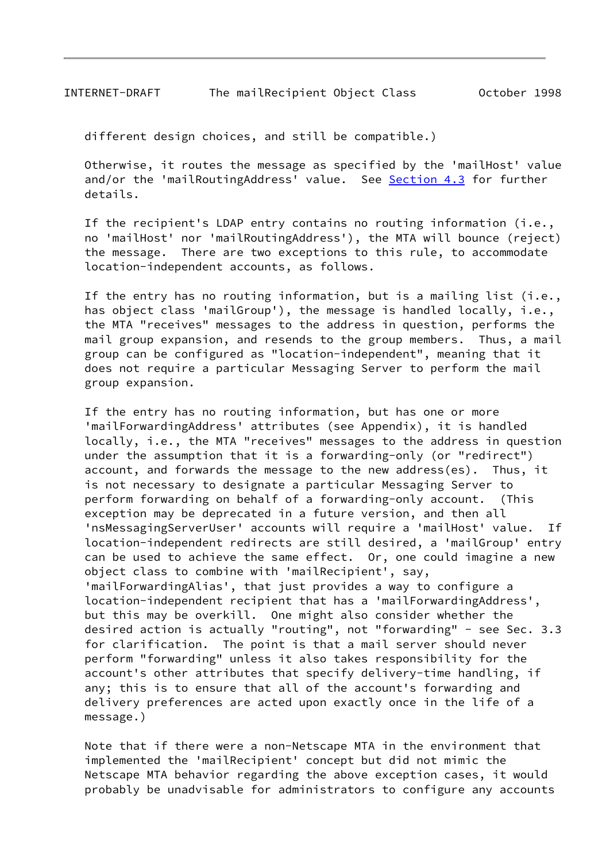different design choices, and still be compatible.)

 Otherwise, it routes the message as specified by the 'mailHost' value and/or the 'mailRoutingAddress' value. See Section 4.3 for further details.

 If the recipient's LDAP entry contains no routing information (i.e., no 'mailHost' nor 'mailRoutingAddress'), the MTA will bounce (reject) the message. There are two exceptions to this rule, to accommodate location-independent accounts, as follows.

 If the entry has no routing information, but is a mailing list (i.e., has object class 'mailGroup'), the message is handled locally, i.e., the MTA "receives" messages to the address in question, performs the mail group expansion, and resends to the group members. Thus, a mail group can be configured as "location-independent", meaning that it does not require a particular Messaging Server to perform the mail group expansion.

 If the entry has no routing information, but has one or more 'mailForwardingAddress' attributes (see Appendix), it is handled locally, i.e., the MTA "receives" messages to the address in question under the assumption that it is a forwarding-only (or "redirect") account, and forwards the message to the new address(es). Thus, it is not necessary to designate a particular Messaging Server to perform forwarding on behalf of a forwarding-only account. (This exception may be deprecated in a future version, and then all 'nsMessagingServerUser' accounts will require a 'mailHost' value. If location-independent redirects are still desired, a 'mailGroup' entry can be used to achieve the same effect. Or, one could imagine a new object class to combine with 'mailRecipient', say, 'mailForwardingAlias', that just provides a way to configure a location-independent recipient that has a 'mailForwardingAddress', but this may be overkill. One might also consider whether the desired action is actually "routing", not "forwarding" - see Sec. 3.3 for clarification. The point is that a mail server should never perform "forwarding" unless it also takes responsibility for the account's other attributes that specify delivery-time handling, if any; this is to ensure that all of the account's forwarding and delivery preferences are acted upon exactly once in the life of a message.)

 Note that if there were a non-Netscape MTA in the environment that implemented the 'mailRecipient' concept but did not mimic the Netscape MTA behavior regarding the above exception cases, it would probably be unadvisable for administrators to configure any accounts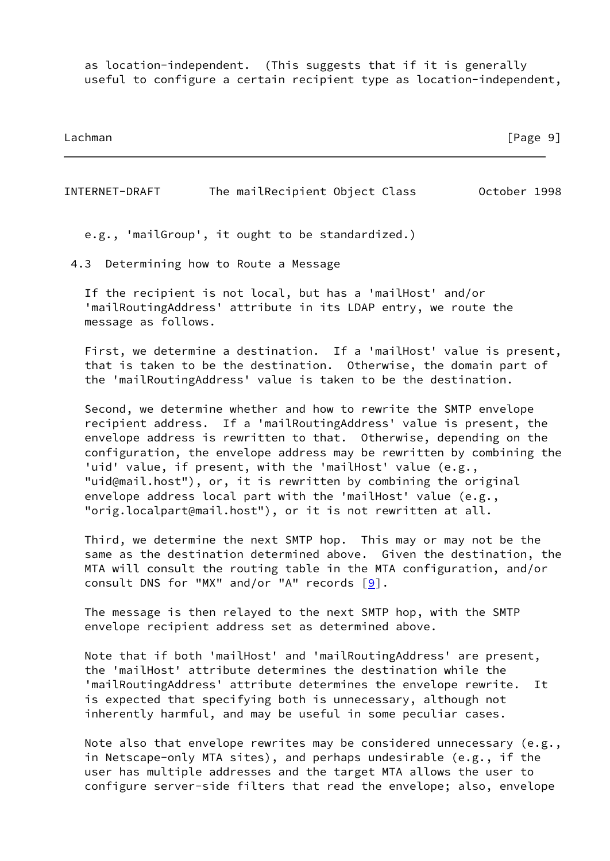as location-independent. (This suggests that if it is generally useful to configure a certain recipient type as location-independent,

Lachman [Page 9]

INTERNET-DRAFT The mailRecipient Object Class October 1998

e.g., 'mailGroup', it ought to be standardized.)

4.3 Determining how to Route a Message

 If the recipient is not local, but has a 'mailHost' and/or 'mailRoutingAddress' attribute in its LDAP entry, we route the message as follows.

 First, we determine a destination. If a 'mailHost' value is present, that is taken to be the destination. Otherwise, the domain part of the 'mailRoutingAddress' value is taken to be the destination.

 Second, we determine whether and how to rewrite the SMTP envelope recipient address. If a 'mailRoutingAddress' value is present, the envelope address is rewritten to that. Otherwise, depending on the configuration, the envelope address may be rewritten by combining the 'uid' value, if present, with the 'mailHost' value (e.g., "uid@mail.host"), or, it is rewritten by combining the original envelope address local part with the 'mailHost' value (e.g., "orig.localpart@mail.host"), or it is not rewritten at all.

 Third, we determine the next SMTP hop. This may or may not be the same as the destination determined above. Given the destination, the MTA will consult the routing table in the MTA configuration, and/or consult DNS for "MX" and/or "A" records  $[9]$  $[9]$ .

 The message is then relayed to the next SMTP hop, with the SMTP envelope recipient address set as determined above.

 Note that if both 'mailHost' and 'mailRoutingAddress' are present, the 'mailHost' attribute determines the destination while the 'mailRoutingAddress' attribute determines the envelope rewrite. It is expected that specifying both is unnecessary, although not inherently harmful, and may be useful in some peculiar cases.

 Note also that envelope rewrites may be considered unnecessary (e.g., in Netscape-only MTA sites), and perhaps undesirable (e.g., if the user has multiple addresses and the target MTA allows the user to configure server-side filters that read the envelope; also, envelope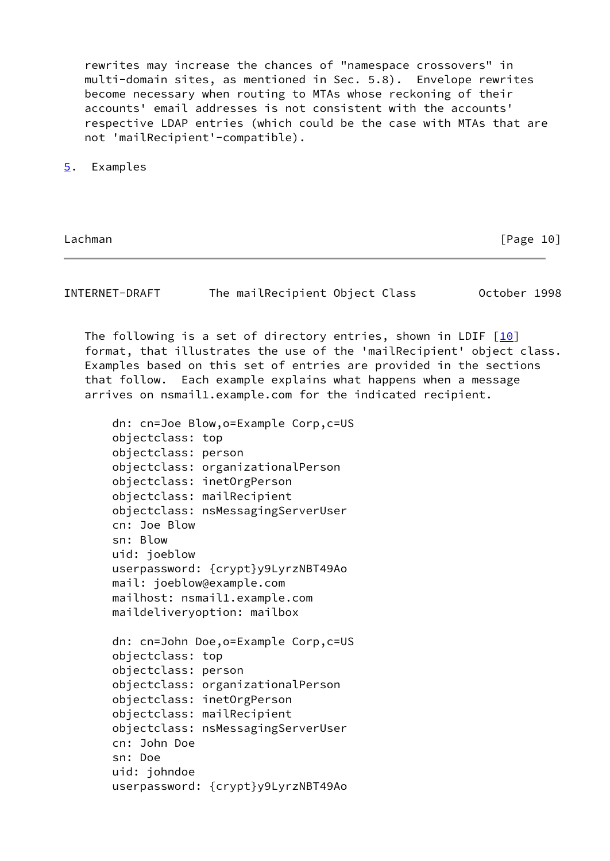rewrites may increase the chances of "namespace crossovers" in multi-domain sites, as mentioned in Sec. 5.8). Envelope rewrites become necessary when routing to MTAs whose reckoning of their accounts' email addresses is not consistent with the accounts' respective LDAP entries (which could be the case with MTAs that are not 'mailRecipient'-compatible).

<span id="page-11-0"></span>[5](#page-11-0). Examples

Lachman [Page 10]

INTERNET-DRAFT The mailRecipient Object Class October 1998

The following is a set of directory entries, shown in LDIF  $[10]$  $[10]$  format, that illustrates the use of the 'mailRecipient' object class. Examples based on this set of entries are provided in the sections that follow. Each example explains what happens when a message arrives on nsmail1.example.com for the indicated recipient.

 dn: cn=Joe Blow,o=Example Corp,c=US objectclass: top objectclass: person objectclass: organizationalPerson objectclass: inetOrgPerson objectclass: mailRecipient objectclass: nsMessagingServerUser cn: Joe Blow sn: Blow uid: joeblow userpassword: {crypt}y9LyrzNBT49Ao mail: joeblow@example.com mailhost: nsmail1.example.com maildeliveryoption: mailbox dn: cn=John Doe,o=Example Corp,c=US objectclass: top objectclass: person objectclass: organizationalPerson objectclass: inetOrgPerson objectclass: mailRecipient objectclass: nsMessagingServerUser cn: John Doe sn: Doe

 uid: johndoe userpassword: {crypt}y9LyrzNBT49Ao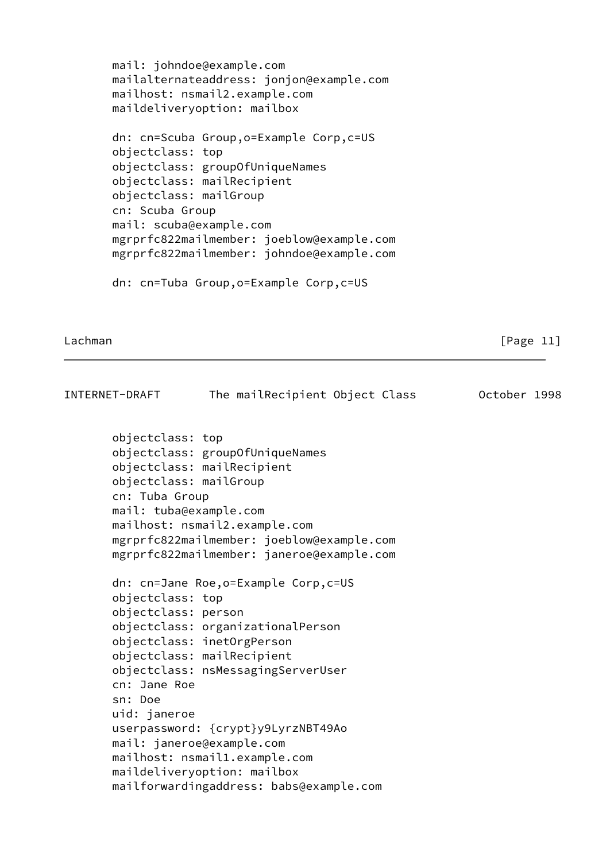```
 mail: johndoe@example.com
 mailalternateaddress: jonjon@example.com
 mailhost: nsmail2.example.com
 maildeliveryoption: mailbox
 dn: cn=Scuba Group,o=Example Corp,c=US
 objectclass: top
 objectclass: groupOfUniqueNames
 objectclass: mailRecipient
 objectclass: mailGroup
 cn: Scuba Group
 mail: scuba@example.com
 mgrprfc822mailmember: joeblow@example.com
 mgrprfc822mailmember: johndoe@example.com
 dn: cn=Tuba Group,o=Example Corp,c=US
```

```
Lachman [Page 11]
```

| INTERNET-DRAFT                                                                         | The mailRecipient Object Class<br>October 1998                                                                                                                                           |  |
|----------------------------------------------------------------------------------------|------------------------------------------------------------------------------------------------------------------------------------------------------------------------------------------|--|
| objectclass: top<br>objectclass: mailGroup<br>cn: Tuba Group<br>mail: tuba@example.com | objectclass: groupOfUniqueNames<br>objectclass: mailRecipient<br>mailhost: nsmail2.example.com<br>mgrprfc822mailmember: joeblow@example.com<br>mgrprfc822mailmember: janeroe@example.com |  |
| objectclass: top<br>objectclass: person<br>cn: Jane Roe<br>sn: Doe                     | dn: cn=Jane Roe, o=Example Corp, c=US<br>objectclass: organizationalPerson<br>objectclass: inetOrgPerson<br>objectclass: mailRecipient<br>objectclass: nsMessagingServerUser             |  |
| uid: janeroe                                                                           | userpassword: {crypt}y9LyrzNBT49Ao<br>mail: janeroe@example.com<br>mailhost: nsmail1.example.com<br>maildeliveryoption: mailbox<br>mailforwardingaddress: babs@example.com               |  |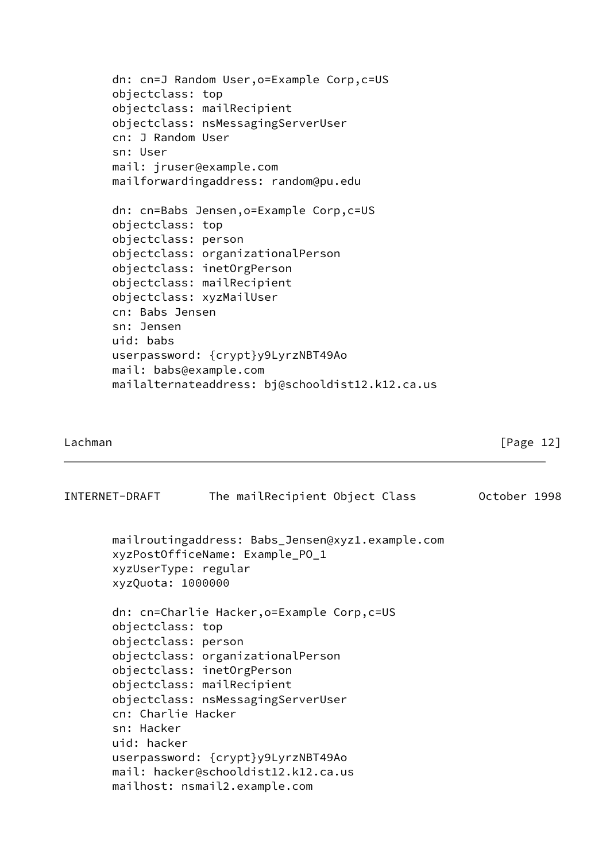```
 dn: cn=J Random User,o=Example Corp,c=US
 objectclass: top
 objectclass: mailRecipient
 objectclass: nsMessagingServerUser
 cn: J Random User
 sn: User
 mail: jruser@example.com
 mailforwardingaddress: random@pu.edu
 dn: cn=Babs Jensen,o=Example Corp,c=US
 objectclass: top
 objectclass: person
 objectclass: organizationalPerson
 objectclass: inetOrgPerson
 objectclass: mailRecipient
 objectclass: xyzMailUser
 cn: Babs Jensen
 sn: Jensen
 uid: babs
 userpassword: {crypt}y9LyrzNBT49Ao
 mail: babs@example.com
 mailalternateaddress: bj@schooldist12.k12.ca.us
```

| INTERNET-DRAFT                                                                             | The mailRecipient Object Class                                                                                                                                                                                                                                                                   | October 1998 |
|--------------------------------------------------------------------------------------------|--------------------------------------------------------------------------------------------------------------------------------------------------------------------------------------------------------------------------------------------------------------------------------------------------|--------------|
| xyzUserType: regular<br>xyzQuota: 1000000                                                  | mailroutingaddress: Babs_Jensen@xyz1.example.com<br>xyzPostOfficeName: Example_PO_1                                                                                                                                                                                                              |              |
| objectclass: top<br>objectclass: person<br>cn: Charlie Hacker<br>sn: Hacker<br>uid: hacker | dn: cn=Charlie Hacker, o=Example Corp, c=US<br>objectclass: organizationalPerson<br>objectclass: inetOrgPerson<br>objectclass: mailRecipient<br>objectclass: nsMessagingServerUser<br>userpassword: {crypt}y9LyrzNBT49Ao<br>mail: hacker@schooldist12.k12.ca.us<br>mailhost: nsmail2.example.com |              |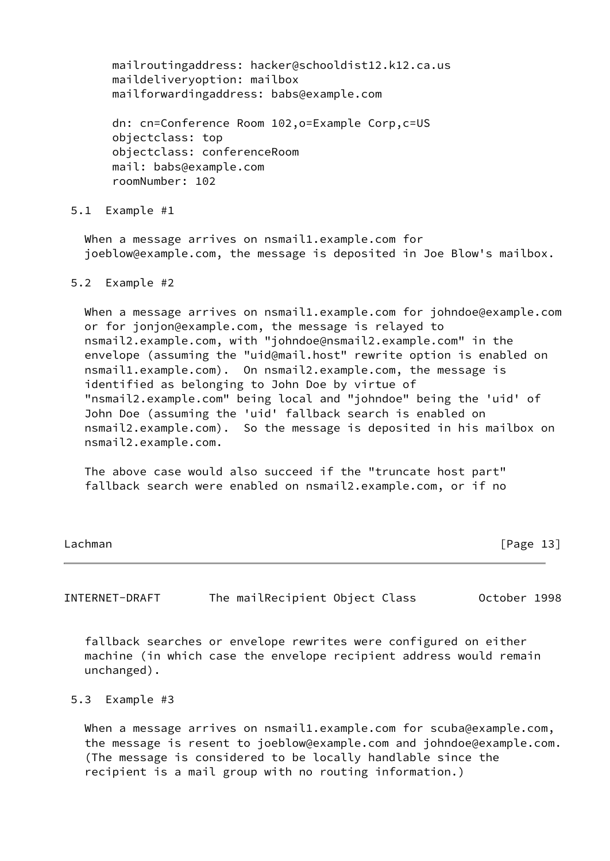mailroutingaddress: hacker@schooldist12.k12.ca.us maildeliveryoption: mailbox mailforwardingaddress: babs@example.com

 dn: cn=Conference Room 102,o=Example Corp,c=US objectclass: top objectclass: conferenceRoom mail: babs@example.com roomNumber: 102

5.1 Example #1

When a message arrives on nsmail1.example.com for joeblow@example.com, the message is deposited in Joe Blow's mailbox.

### 5.2 Example #2

When a message arrives on nsmail1.example.com for johndoe@example.com or for jonjon@example.com, the message is relayed to nsmail2.example.com, with "johndoe@nsmail2.example.com" in the envelope (assuming the "uid@mail.host" rewrite option is enabled on nsmail1.example.com). On nsmail2.example.com, the message is identified as belonging to John Doe by virtue of "nsmail2.example.com" being local and "johndoe" being the 'uid' of John Doe (assuming the 'uid' fallback search is enabled on nsmail2.example.com). So the message is deposited in his mailbox on nsmail2.example.com.

 The above case would also succeed if the "truncate host part" fallback search were enabled on nsmail2.example.com, or if no

Lachman [Page 13]

INTERNET-DRAFT The mailRecipient Object Class October 1998

 fallback searches or envelope rewrites were configured on either machine (in which case the envelope recipient address would remain unchanged).

### 5.3 Example #3

When a message arrives on nsmail1.example.com for scuba@example.com, the message is resent to joeblow@example.com and johndoe@example.com. (The message is considered to be locally handlable since the recipient is a mail group with no routing information.)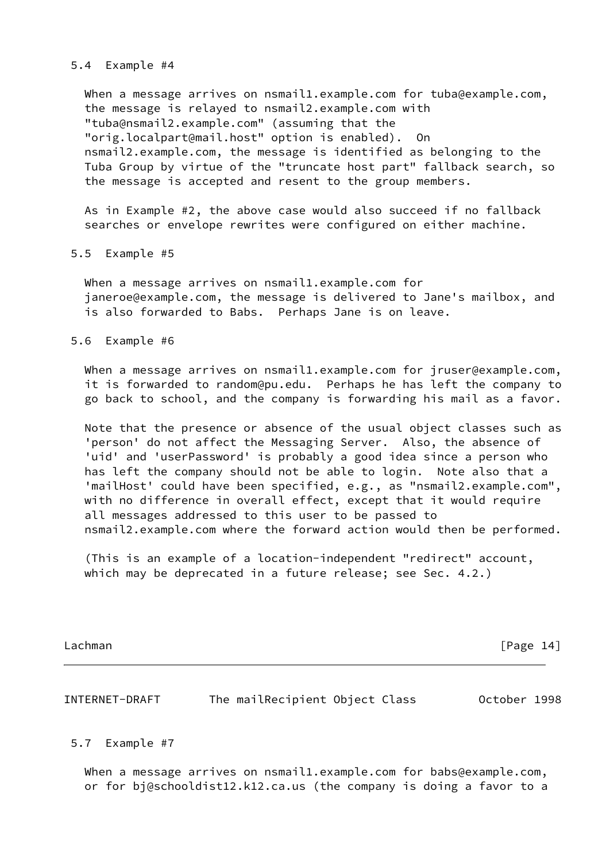### 5.4 Example #4

When a message arrives on nsmail1.example.com for tuba@example.com, the message is relayed to nsmail2.example.com with "tuba@nsmail2.example.com" (assuming that the "orig.localpart@mail.host" option is enabled). On nsmail2.example.com, the message is identified as belonging to the Tuba Group by virtue of the "truncate host part" fallback search, so the message is accepted and resent to the group members.

 As in Example #2, the above case would also succeed if no fallback searches or envelope rewrites were configured on either machine.

5.5 Example #5

When a message arrives on nsmail1.example.com for janeroe@example.com, the message is delivered to Jane's mailbox, and is also forwarded to Babs. Perhaps Jane is on leave.

5.6 Example #6

When a message arrives on nsmail1.example.com for jruser@example.com, it is forwarded to random@pu.edu. Perhaps he has left the company to go back to school, and the company is forwarding his mail as a favor.

 Note that the presence or absence of the usual object classes such as 'person' do not affect the Messaging Server. Also, the absence of 'uid' and 'userPassword' is probably a good idea since a person who has left the company should not be able to login. Note also that a 'mailHost' could have been specified, e.g., as "nsmail2.example.com", with no difference in overall effect, except that it would require all messages addressed to this user to be passed to nsmail2.example.com where the forward action would then be performed.

 (This is an example of a location-independent "redirect" account, which may be deprecated in a future release; see Sec. 4.2.)

Lachman [Page 14]

INTERNET-DRAFT The mailRecipient Object Class October 1998

5.7 Example #7

 When a message arrives on nsmail1.example.com for babs@example.com, or for bj@schooldist12.k12.ca.us (the company is doing a favor to a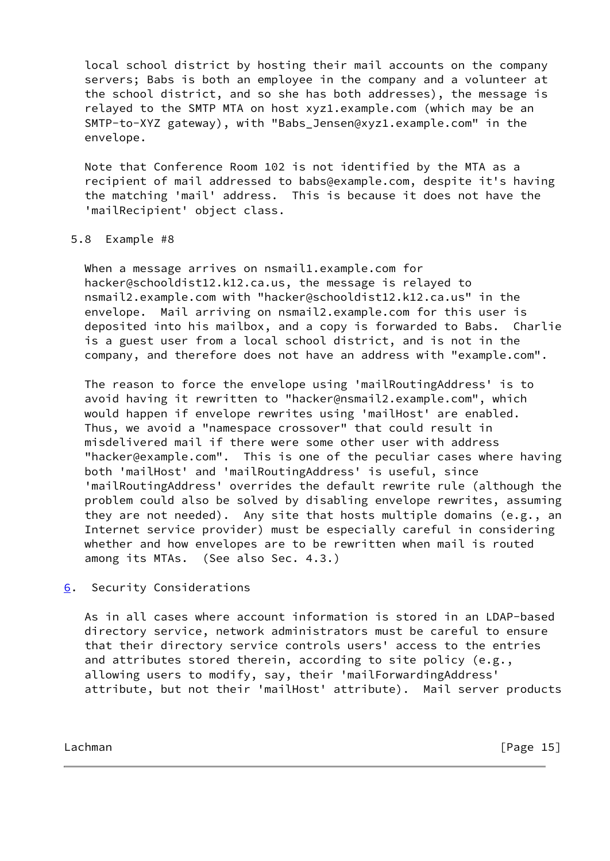local school district by hosting their mail accounts on the company servers; Babs is both an employee in the company and a volunteer at the school district, and so she has both addresses), the message is relayed to the SMTP MTA on host xyz1.example.com (which may be an SMTP-to-XYZ gateway), with "Babs\_Jensen@xyz1.example.com" in the envelope.

 Note that Conference Room 102 is not identified by the MTA as a recipient of mail addressed to babs@example.com, despite it's having the matching 'mail' address. This is because it does not have the 'mailRecipient' object class.

## 5.8 Example #8

When a message arrives on nsmail1.example.com for hacker@schooldist12.k12.ca.us, the message is relayed to nsmail2.example.com with "hacker@schooldist12.k12.ca.us" in the envelope. Mail arriving on nsmail2.example.com for this user is deposited into his mailbox, and a copy is forwarded to Babs. Charlie is a guest user from a local school district, and is not in the company, and therefore does not have an address with "example.com".

 The reason to force the envelope using 'mailRoutingAddress' is to avoid having it rewritten to "hacker@nsmail2.example.com", which would happen if envelope rewrites using 'mailHost' are enabled. Thus, we avoid a "namespace crossover" that could result in misdelivered mail if there were some other user with address "hacker@example.com". This is one of the peculiar cases where having both 'mailHost' and 'mailRoutingAddress' is useful, since 'mailRoutingAddress' overrides the default rewrite rule (although the problem could also be solved by disabling envelope rewrites, assuming they are not needed). Any site that hosts multiple domains (e.g., an Internet service provider) must be especially careful in considering whether and how envelopes are to be rewritten when mail is routed among its MTAs. (See also Sec. 4.3.)

<span id="page-16-0"></span>[6](#page-16-0). Security Considerations

 As in all cases where account information is stored in an LDAP-based directory service, network administrators must be careful to ensure that their directory service controls users' access to the entries and attributes stored therein, according to site policy (e.g., allowing users to modify, say, their 'mailForwardingAddress' attribute, but not their 'mailHost' attribute). Mail server products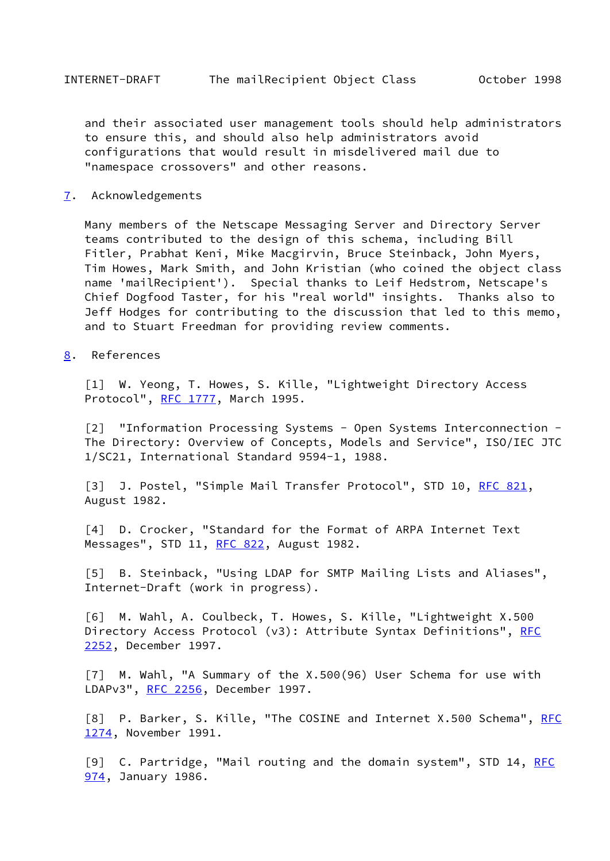and their associated user management tools should help administrators to ensure this, and should also help administrators avoid configurations that would result in misdelivered mail due to "namespace crossovers" and other reasons.

<span id="page-17-9"></span>[7](#page-17-9). Acknowledgements

 Many members of the Netscape Messaging Server and Directory Server teams contributed to the design of this schema, including Bill Fitler, Prabhat Keni, Mike Macgirvin, Bruce Steinback, John Myers, Tim Howes, Mark Smith, and John Kristian (who coined the object class name 'mailRecipient'). Special thanks to Leif Hedstrom, Netscape's Chief Dogfood Taster, for his "real world" insights. Thanks also to Jeff Hodges for contributing to the discussion that led to this memo, and to Stuart Freedman for providing review comments.

<span id="page-17-10"></span>[8](#page-17-10). References

<span id="page-17-0"></span> [1] W. Yeong, T. Howes, S. Kille, "Lightweight Directory Access Protocol", [RFC 1777,](https://datatracker.ietf.org/doc/pdf/rfc1777) March 1995.

<span id="page-17-1"></span> [2] "Information Processing Systems - Open Systems Interconnection - The Directory: Overview of Concepts, Models and Service", ISO/IEC JTC 1/SC21, International Standard 9594-1, 1988.

<span id="page-17-2"></span>[3] J. Postel, "Simple Mail Transfer Protocol", STD 10, [RFC 821](https://datatracker.ietf.org/doc/pdf/rfc821), August 1982.

<span id="page-17-3"></span> [4] D. Crocker, "Standard for the Format of ARPA Internet Text Messages", STD 11, [RFC 822](https://datatracker.ietf.org/doc/pdf/rfc822), August 1982.

<span id="page-17-4"></span> [5] B. Steinback, "Using LDAP for SMTP Mailing Lists and Aliases", Internet-Draft (work in progress).

<span id="page-17-5"></span> [6] M. Wahl, A. Coulbeck, T. Howes, S. Kille, "Lightweight X.500 Directory Access Protocol (v3): Attribute Syntax Definitions", [RFC](https://datatracker.ietf.org/doc/pdf/rfc2252) [2252](https://datatracker.ietf.org/doc/pdf/rfc2252), December 1997.

<span id="page-17-6"></span> [7] M. Wahl, "A Summary of the X.500(96) User Schema for use with LDAPv3", [RFC 2256](https://datatracker.ietf.org/doc/pdf/rfc2256), December 1997.

<span id="page-17-7"></span>[8] P. Barker, S. Kille, "The COSINE and Internet X.500 Schema", [RFC](https://datatracker.ietf.org/doc/pdf/rfc1274) [1274](https://datatracker.ietf.org/doc/pdf/rfc1274), November 1991.

<span id="page-17-8"></span>[9] C. Partridge, "Mail routing and the domain system", STD 14, [RFC](https://datatracker.ietf.org/doc/pdf/rfc974) [974](https://datatracker.ietf.org/doc/pdf/rfc974), January 1986.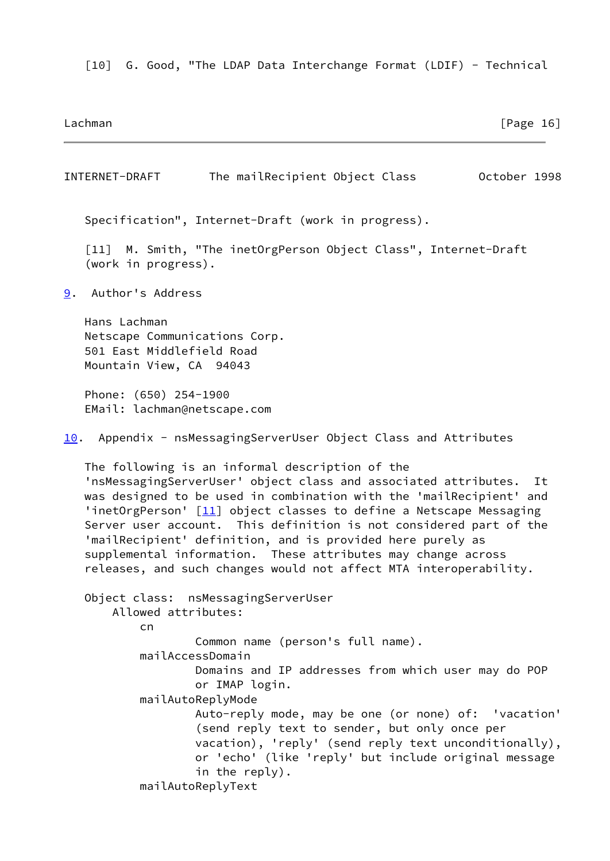<span id="page-18-0"></span>[10] G. Good, "The LDAP Data Interchange Format (LDIF) - Technical

Lachman [Page 16]

<span id="page-18-3"></span><span id="page-18-2"></span><span id="page-18-1"></span>INTERNET-DRAFT The mailRecipient Object Class October 1998 Specification", Internet-Draft (work in progress). [11] M. Smith, "The inetOrgPerson Object Class", Internet-Draft (work in progress). [9](#page-18-1). Author's Address Hans Lachman Netscape Communications Corp. 501 East Middlefield Road Mountain View, CA 94043 Phone: (650) 254-1900 EMail: lachman@netscape.com [10.](#page-18-2) Appendix - nsMessagingServerUser Object Class and Attributes The following is an informal description of the 'nsMessagingServerUser' object class and associated attributes. It was designed to be used in combination with the 'mailRecipient' and 'inetOrgPerson' [\[11\]](#page-18-3) object classes to define a Netscape Messaging Server user account. This definition is not considered part of the 'mailRecipient' definition, and is provided here purely as supplemental information. These attributes may change across releases, and such changes would not affect MTA interoperability. Object class: nsMessagingServerUser Allowed attributes: <u>communications</u> Common name (person's full name). mailAccessDomain Domains and IP addresses from which user may do POP or IMAP login. mailAutoReplyMode Auto-reply mode, may be one (or none) of: 'vacation' (send reply text to sender, but only once per vacation), 'reply' (send reply text unconditionally), or 'echo' (like 'reply' but include original message in the reply). mailAutoReplyText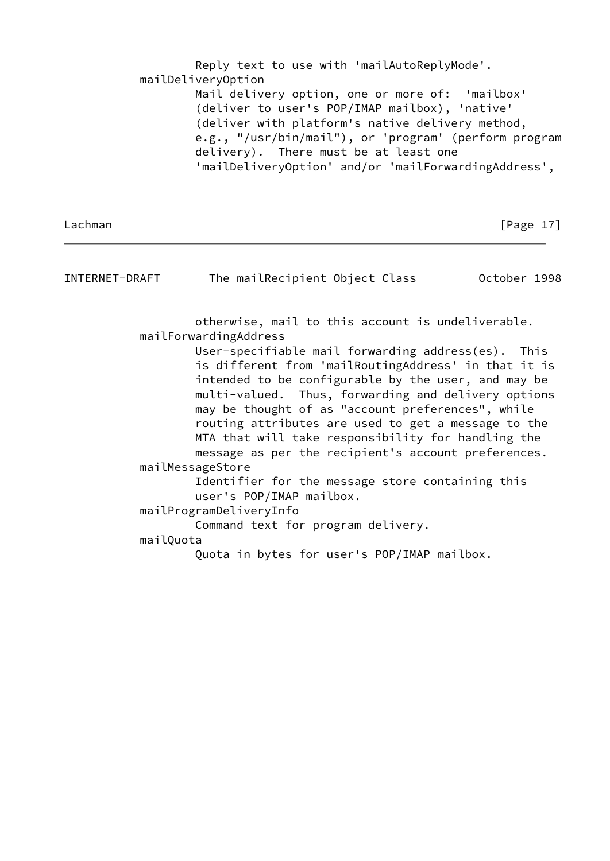Reply text to use with 'mailAutoReplyMode'. mailDeliveryOption Mail delivery option, one or more of: 'mailbox' (deliver to user's POP/IMAP mailbox), 'native' (deliver with platform's native delivery method, e.g., "/usr/bin/mail"), or 'program' (perform program delivery). There must be at least one 'mailDeliveryOption' and/or 'mailForwardingAddress',

Lachman [Page 17]

| INTERNET-DRAFT | The mailRecipient Object Class                                                                                                                                                                                                                                                                                                                                                             | October 1998 |
|----------------|--------------------------------------------------------------------------------------------------------------------------------------------------------------------------------------------------------------------------------------------------------------------------------------------------------------------------------------------------------------------------------------------|--------------|
|                | otherwise, mail to this account is undeliverable.                                                                                                                                                                                                                                                                                                                                          |              |
|                | mailForwardingAddress                                                                                                                                                                                                                                                                                                                                                                      |              |
|                | User-specifiable mail forwarding address(es). This<br>is different from 'mailRoutingAddress' in that it is<br>intended to be configurable by the user, and may be<br>multi-valued. Thus, forwarding and delivery options<br>may be thought of as "account preferences", while<br>routing attributes are used to get a message to the<br>MTA that will take responsibility for handling the |              |
|                | message as per the recipient's account preferences.                                                                                                                                                                                                                                                                                                                                        |              |
|                | mailMessageStore                                                                                                                                                                                                                                                                                                                                                                           |              |
|                | Identifier for the message store containing this<br>user's POP/IMAP mailbox.                                                                                                                                                                                                                                                                                                               |              |
|                | mailProgramDeliveryInfo                                                                                                                                                                                                                                                                                                                                                                    |              |
|                | Command text for program delivery.                                                                                                                                                                                                                                                                                                                                                         |              |
| mailQuota      |                                                                                                                                                                                                                                                                                                                                                                                            |              |
|                | Quota in bytes for user's POP/IMAP mailbox.                                                                                                                                                                                                                                                                                                                                                |              |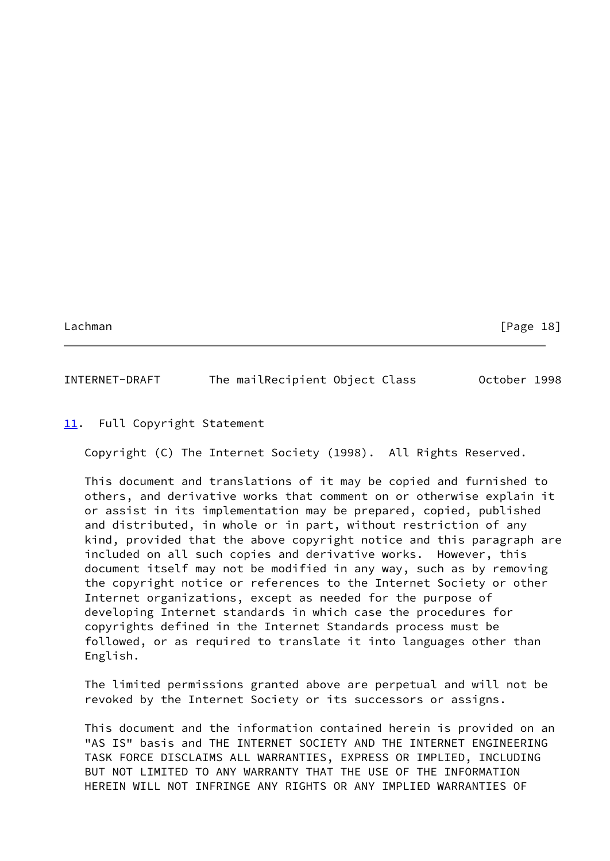# INTERNET-DRAFT The mailRecipient Object Class October 1998

# <span id="page-20-0"></span>[11.](#page-20-0) Full Copyright Statement

Copyright (C) The Internet Society (1998). All Rights Reserved.

 This document and translations of it may be copied and furnished to others, and derivative works that comment on or otherwise explain it or assist in its implementation may be prepared, copied, published and distributed, in whole or in part, without restriction of any kind, provided that the above copyright notice and this paragraph are included on all such copies and derivative works. However, this document itself may not be modified in any way, such as by removing the copyright notice or references to the Internet Society or other Internet organizations, except as needed for the purpose of developing Internet standards in which case the procedures for copyrights defined in the Internet Standards process must be followed, or as required to translate it into languages other than English.

 The limited permissions granted above are perpetual and will not be revoked by the Internet Society or its successors or assigns.

 This document and the information contained herein is provided on an "AS IS" basis and THE INTERNET SOCIETY AND THE INTERNET ENGINEERING TASK FORCE DISCLAIMS ALL WARRANTIES, EXPRESS OR IMPLIED, INCLUDING BUT NOT LIMITED TO ANY WARRANTY THAT THE USE OF THE INFORMATION HEREIN WILL NOT INFRINGE ANY RIGHTS OR ANY IMPLIED WARRANTIES OF